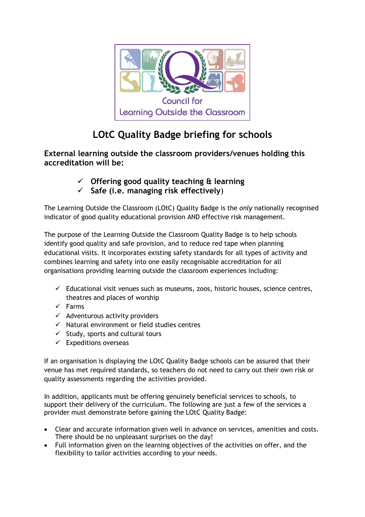

## **LOtC Quality Badge briefing for schools**

**External learning outside the classroom providers/venues holding this accreditation will be:** 

- **Offering good quality teaching & learning**
- **Safe (i.e. managing risk effectively**)

The Learning Outside the Classroom (LOtC) Quality Badge is the *only* nationally recognised indicator of good quality educational provision AND effective risk management.

The purpose of the Learning Outside the Classroom Quality Badge is to help schools identify good quality and safe provision, and to reduce red tape when planning educational visits. It incorporates existing safety standards for all types of activity and combines learning and safety into one easily recognisable accreditation for all organisations providing learning outside the classroom experiences including:

- $\checkmark$  Educational visit venues such as museums, zoos, historic houses, science centres, theatres and places of worship
- $\checkmark$  Farms
- $\checkmark$  Adventurous activity providers
- $\checkmark$  Natural environment or field studies centres
- $\checkmark$  Study, sports and cultural tours
- $\checkmark$  Expeditions overseas

If an organisation is displaying the LOtC Quality Badge schools can be assured that their venue has met required standards, so teachers do not need to carry out their own risk or quality assessments regarding the activities provided.

In addition, applicants must be offering genuinely beneficial services to schools, to support their delivery of the curriculum. The following are just a few of the services a provider must demonstrate before gaining the LOtC Quality Badge:

- Clear and accurate information given well in advance on services, amenities and costs. There should be no unpleasant surprises on the day!
- Full information given on the learning objectives of the activities on offer, and the flexibility to tailor activities according to your needs.